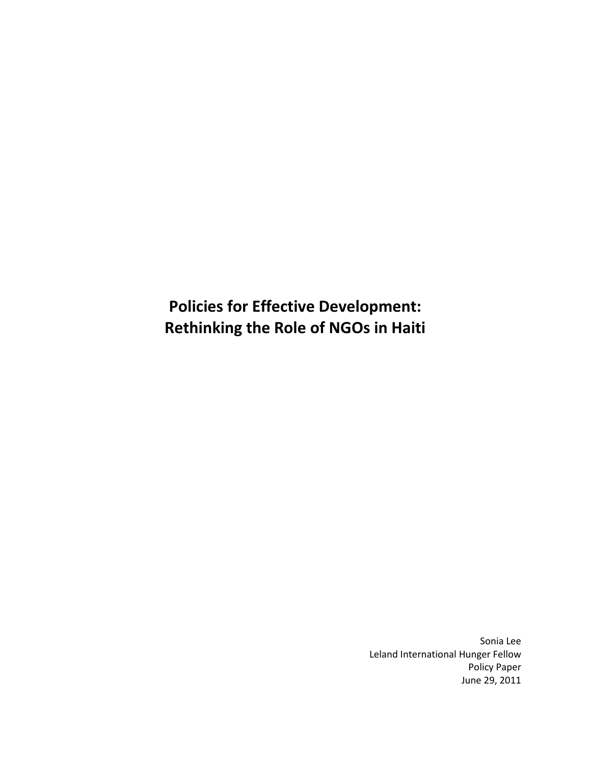**Policies for Effective Development: Rethinking the Role of NGOs in Haiti** 

> Sonia Lee Leland International Hunger Fellow Policy Paper June 29, 2011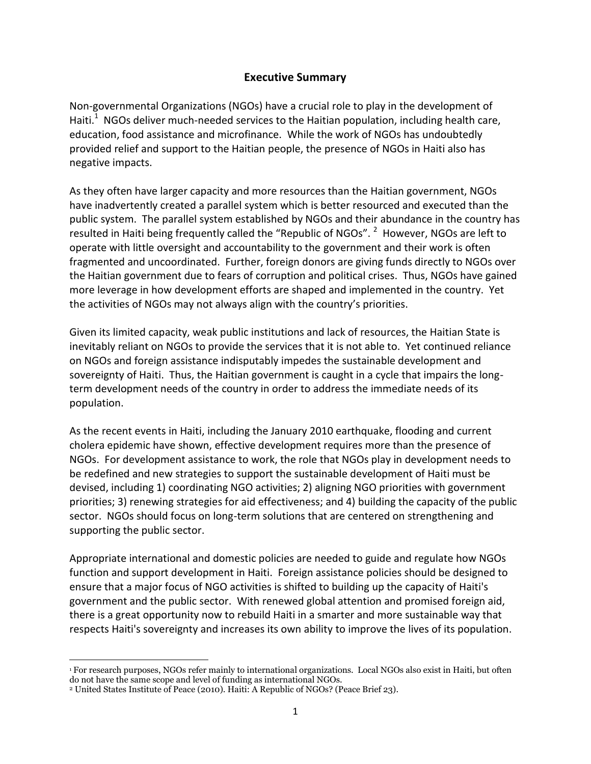## **Executive Summary**

Non-governmental Organizations (NGOs) have a crucial role to play in the development of Haiti.<sup>1</sup> NGOs deliver much-needed services to the Haitian population, including health care, education, food assistance and microfinance. While the work of NGOs has undoubtedly provided relief and support to the Haitian people, the presence of NGOs in Haiti also has negative impacts.

As they often have larger capacity and more resources than the Haitian government, NGOs have inadvertently created a parallel system which is better resourced and executed than the public system. The parallel system established by NGOs and their abundance in the country has resulted in Haiti being frequently called the "Republic of NGOs".  $^2$  However, NGOs are left to operate with little oversight and accountability to the government and their work is often fragmented and uncoordinated. Further, foreign donors are giving funds directly to NGOs over the Haitian government due to fears of corruption and political crises. Thus, NGOs have gained more leverage in how development efforts are shaped and implemented in the country. Yet the activities of NGOs may not always align with the country's priorities.

Given its limited capacity, weak public institutions and lack of resources, the Haitian State is inevitably reliant on NGOs to provide the services that it is not able to. Yet continued reliance on NGOs and foreign assistance indisputably impedes the sustainable development and sovereignty of Haiti. Thus, the Haitian government is caught in a cycle that impairs the longterm development needs of the country in order to address the immediate needs of its population.

As the recent events in Haiti, including the January 2010 earthquake, flooding and current cholera epidemic have shown, effective development requires more than the presence of NGOs. For development assistance to work, the role that NGOs play in development needs to be redefined and new strategies to support the sustainable development of Haiti must be devised, including 1) coordinating NGO activities; 2) aligning NGO priorities with government priorities; 3) renewing strategies for aid effectiveness; and 4) building the capacity of the public sector. NGOs should focus on long-term solutions that are centered on strengthening and supporting the public sector.

Appropriate international and domestic policies are needed to guide and regulate how NGOs function and support development in Haiti. Foreign assistance policies should be designed to ensure that a major focus of NGO activities is shifted to building up the capacity of Haiti's government and the public sector. With renewed global attention and promised foreign aid, there is a great opportunity now to rebuild Haiti in a smarter and more sustainable way that respects Haiti's sovereignty and increases its own ability to improve the lives of its population.

l <sup>1</sup> For research purposes, NGOs refer mainly to international organizations. Local NGOs also exist in Haiti, but often do not have the same scope and level of funding as international NGOs.

<sup>2</sup> United States Institute of Peace (2010). Haiti: A Republic of NGOs? (Peace Brief 23).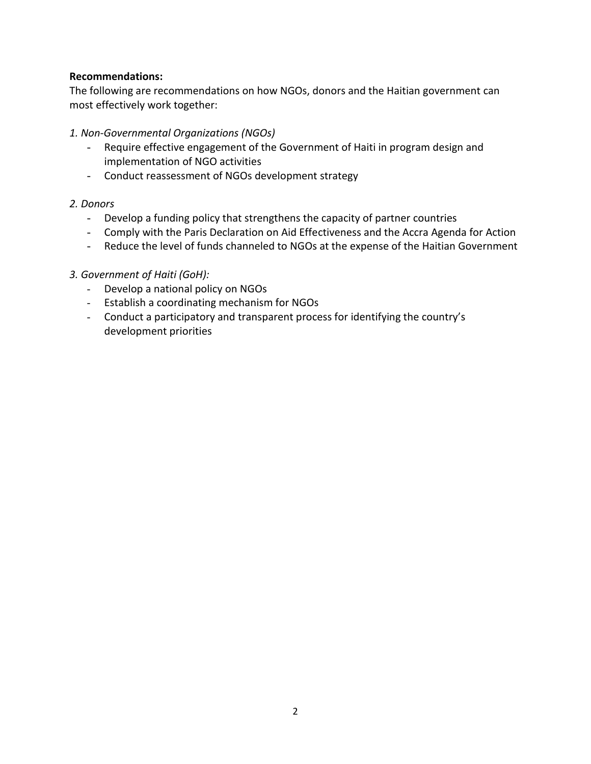#### **Recommendations:**

The following are recommendations on how NGOs, donors and the Haitian government can most effectively work together:

- *1. Non-Governmental Organizations (NGOs)*
	- Require effective engagement of the Government of Haiti in program design and implementation of NGO activities
	- Conduct reassessment of NGOs development strategy

#### *2. Donors*

- Develop a funding policy that strengthens the capacity of partner countries
- Comply with the Paris Declaration on Aid Effectiveness and the Accra Agenda for Action
- Reduce the level of funds channeled to NGOs at the expense of the Haitian Government

#### *3. Government of Haiti (GoH):*

- Develop a national policy on NGOs
- Establish a coordinating mechanism for NGOs
- Conduct a participatory and transparent process for identifying the country's development priorities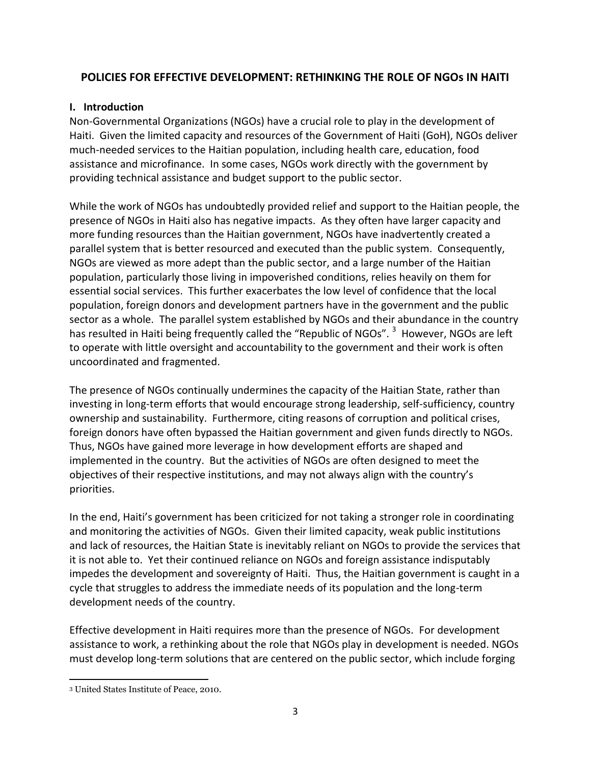# **POLICIES FOR EFFECTIVE DEVELOPMENT: RETHINKING THE ROLE OF NGOs IN HAITI**

## **I. Introduction**

Non-Governmental Organizations (NGOs) have a crucial role to play in the development of Haiti. Given the limited capacity and resources of the Government of Haiti (GoH), NGOs deliver much-needed services to the Haitian population, including health care, education, food assistance and microfinance. In some cases, NGOs work directly with the government by providing technical assistance and budget support to the public sector.

While the work of NGOs has undoubtedly provided relief and support to the Haitian people, the presence of NGOs in Haiti also has negative impacts. As they often have larger capacity and more funding resources than the Haitian government, NGOs have inadvertently created a parallel system that is better resourced and executed than the public system. Consequently, NGOs are viewed as more adept than the public sector, and a large number of the Haitian population, particularly those living in impoverished conditions, relies heavily on them for essential social services. This further exacerbates the low level of confidence that the local population, foreign donors and development partners have in the government and the public sector as a whole. The parallel system established by NGOs and their abundance in the country has resulted in Haiti being frequently called the "Republic of NGOs". <sup>3</sup> However, NGOs are left to operate with little oversight and accountability to the government and their work is often uncoordinated and fragmented.

The presence of NGOs continually undermines the capacity of the Haitian State, rather than investing in long-term efforts that would encourage strong leadership, self-sufficiency, country ownership and sustainability. Furthermore, citing reasons of corruption and political crises, foreign donors have often bypassed the Haitian government and given funds directly to NGOs. Thus, NGOs have gained more leverage in how development efforts are shaped and implemented in the country. But the activities of NGOs are often designed to meet the objectives of their respective institutions, and may not always align with the country's priorities.

In the end, Haiti's government has been criticized for not taking a stronger role in coordinating and monitoring the activities of NGOs. Given their limited capacity, weak public institutions and lack of resources, the Haitian State is inevitably reliant on NGOs to provide the services that it is not able to. Yet their continued reliance on NGOs and foreign assistance indisputably impedes the development and sovereignty of Haiti. Thus, the Haitian government is caught in a cycle that struggles to address the immediate needs of its population and the long-term development needs of the country.

Effective development in Haiti requires more than the presence of NGOs. For development assistance to work, a rethinking about the role that NGOs play in development is needed. NGOs must develop long-term solutions that are centered on the public sector, which include forging

 $\overline{a}$ <sup>3</sup> United States Institute of Peace, 2010.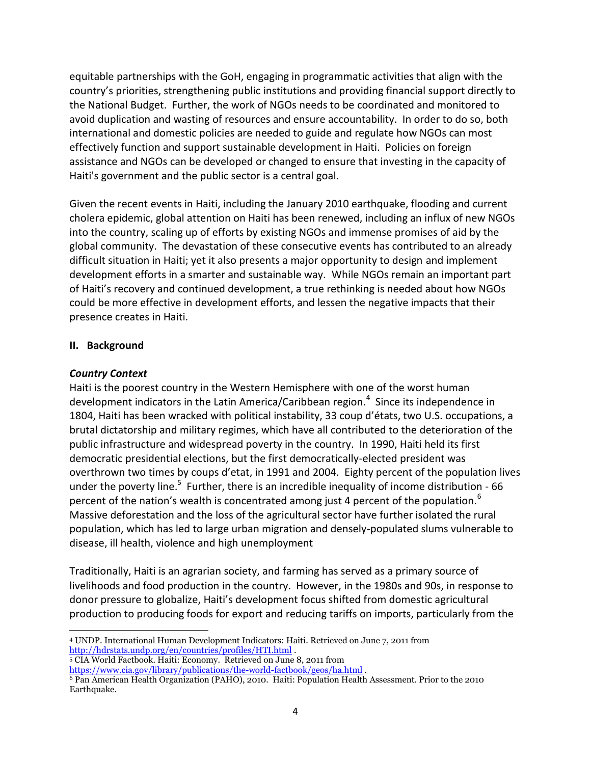equitable partnerships with the GoH, engaging in programmatic activities that align with the country's priorities, strengthening public institutions and providing financial support directly to the National Budget. Further, the work of NGOs needs to be coordinated and monitored to avoid duplication and wasting of resources and ensure accountability. In order to do so, both international and domestic policies are needed to guide and regulate how NGOs can most effectively function and support sustainable development in Haiti. Policies on foreign assistance and NGOs can be developed or changed to ensure that investing in the capacity of Haiti's government and the public sector is a central goal.

Given the recent events in Haiti, including the January 2010 earthquake, flooding and current cholera epidemic, global attention on Haiti has been renewed, including an influx of new NGOs into the country, scaling up of efforts by existing NGOs and immense promises of aid by the global community. The devastation of these consecutive events has contributed to an already difficult situation in Haiti; yet it also presents a major opportunity to design and implement development efforts in a smarter and sustainable way. While NGOs remain an important part of Haiti's recovery and continued development, a true rethinking is needed about how NGOs could be more effective in development efforts, and lessen the negative impacts that their presence creates in Haiti.

#### **II. Background**

#### *Country Context*

Haiti is the poorest country in the Western Hemisphere with one of the worst human development indicators in the Latin America/Caribbean region.<sup>4</sup> Since its independence in 1804, Haiti has been wracked with political instability, 33 coup d'états, two U.S. occupations, a brutal dictatorship and military regimes, which have all contributed to the deterioration of the public infrastructure and widespread poverty in the country. In 1990, Haiti held its first democratic presidential elections, but the first democratically-elected president was overthrown two times by coups d'etat, in 1991 and 2004. Eighty percent of the population lives under the poverty line.<sup>5</sup> Further, there is an incredible inequality of income distribution - 66 percent of the nation's wealth is concentrated among just 4 percent of the population.<sup>6</sup> Massive deforestation and the loss of the agricultural sector have further isolated the rural population, which has led to large urban migration and densely-populated slums vulnerable to disease, ill health, violence and high unemployment

Traditionally, Haiti is an agrarian society, and farming has served as a primary source of livelihoods and food production in the country. However, in the 1980s and 90s, in response to donor pressure to globalize, Haiti's development focus shifted from domestic agricultural production to producing foods for export and reducing tariffs on imports, particularly from the

 $\overline{\phantom{a}}$ <sup>4</sup> UNDP. International Human Development Indicators: Haiti. Retrieved on June 7, 2011 from <http://hdrstats.undp.org/en/countries/profiles/HTI.html> .

<sup>5</sup> CIA World Factbook. Haiti: Economy. Retrieved on June 8, 2011 from

<https://www.cia.gov/library/publications/the-world-factbook/geos/ha.html> .

<sup>6</sup> Pan American Health Organization (PAHO), 2010. Haiti: Population Health Assessment. Prior to the 2010 Earthquake.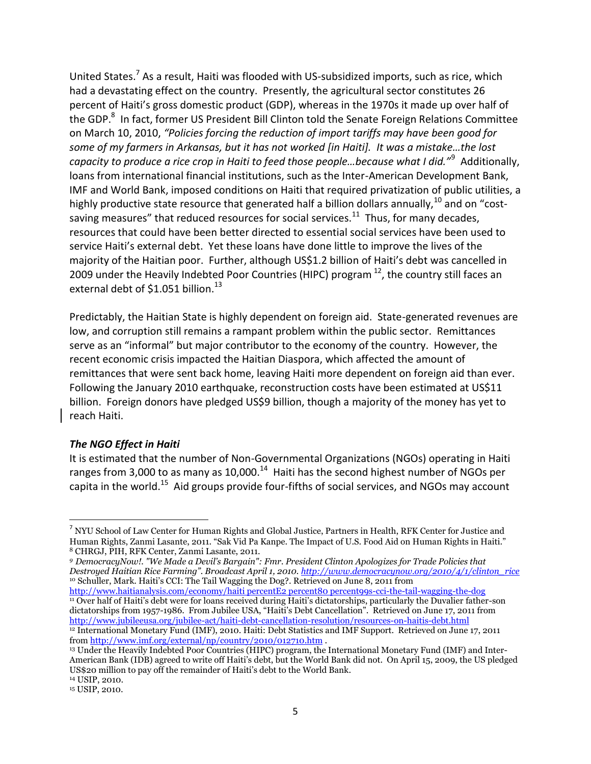United States.<sup>7</sup> As a result, Haiti was flooded with US-subsidized imports, such as rice, which had a devastating effect on the country. Presently, the agricultural sector constitutes 26 percent of Haiti's gross domestic product (GDP), whereas in the 1970s it made up over half of the GDP.<sup>8</sup> In fact, former US President Bill Clinton told the Senate Foreign Relations Committee on March 10, 2010, *"Policies forcing the reduction of import tariffs may have been good for some of my farmers in Arkansas, but it has not worked [in Haiti]. It was a mistake…the lost capacity to produce a rice crop in Haiti to feed those people…because what I did."*<sup>9</sup> Additionally, loans from international financial institutions, such as the Inter-American Development Bank, IMF and World Bank, imposed conditions on Haiti that required privatization of public utilities, a highly productive state resource that generated half a billion dollars annually,<sup>10</sup> and on "costsaving measures" that reduced resources for social services.<sup>11</sup> Thus, for many decades, resources that could have been better directed to essential social services have been used to service Haiti's external debt. Yet these loans have done little to improve the lives of the majority of the Haitian poor. Further, although US\$1.2 billion of Haiti's debt was cancelled in 2009 under the Heavily Indebted Poor Countries (HIPC) program  $^{12}$ , the country still faces an external debt of  $$1.051$  billion.<sup>13</sup>

Predictably, the Haitian State is highly dependent on foreign aid. State-generated revenues are low, and corruption still remains a rampant problem within the public sector. Remittances serve as an "informal" but major contributor to the economy of the country. However, the recent economic crisis impacted the Haitian Diaspora, which affected the amount of remittances that were sent back home, leaving Haiti more dependent on foreign aid than ever. Following the January 2010 earthquake, reconstruction costs have been estimated at US\$11 billion. Foreign donors have pledged US\$9 billion, though a majority of the money has yet to reach Haiti.

## *The NGO Effect in Haiti*

It is estimated that the number of Non-Governmental Organizations (NGOs) operating in Haiti ranges from 3,000 to as many as 10,000. $^{14}$  Haiti has the second highest number of NGOs per capita in the world.<sup>15</sup> Aid groups provide four-fifths of social services, and NGOs may account

<sup>11</sup> Over half of Haiti's debt were for loans received during Haiti's dictatorships, particularly the Duvalier father-son dictatorships from 1957-1986. From Jubilee USA, "Haiti's Debt Cancellation". Retrieved on June 17, 2011 from <http://www.jubileeusa.org/jubilee-act/haiti-debt-cancellation-resolution/resources-on-haitis-debt.html> <sup>12</sup> International Monetary Fund (IMF), 2010. Haiti: Debt Statistics and IMF Support. Retrieved on June 17, 2011 fro[m http://www.imf.org/external/np/country/2010/012710.htm](http://www.imf.org/external/np/country/2010/012710.htm) .

l

 $<sup>7</sup>$  NYU School of Law Center for Human Rights and Global Justice, Partners in Health, RFK Center for Justice and</sup> Human Rights, Zanmi Lasante, 2011. "Sak Vid Pa Kanpe. The Impact of U.S. Food Aid on Human Rights in Haiti." <sup>8</sup> CHRGJ, PIH, RFK Center, Zanmi Lasante, 2011.

*<sup>9</sup> DemocracyNow!. "We Made a Devil's Bargain": Fmr. President Clinton Apologizes for Trade Policies that Destroyed Haitian Rice Farming". Broadcast April 1, 2010. [http://www.democracynow.org/2010/4/1/clinton\\_rice](http://www.democracynow.org/2010/4/1/clinton_rice)* <sup>10</sup> Schuller, Mark. Haiti's CCI: The Tail Wagging the Dog?. Retrieved on June 8, 2011 from [http://www.haitianalysis.com/economy/haiti percentE2 percent80 percent99s-cci-the-tail-wagging-the-dog](http://www.haitianalysis.com/economy/haiti%E2%80%99s-cci-the-tail-wagging-the-dog)

<sup>13</sup> Under the Heavily Indebted Poor Countries (HIPC) program, the International Monetary Fund (IMF) and Inter-American Bank (IDB) agreed to write off Haiti's debt, but the World Bank did not. On April 15, 2009, the US pledged US\$20 million to pay off the remainder of Haiti's debt to the World Bank.

<sup>15</sup> USIP, 2010.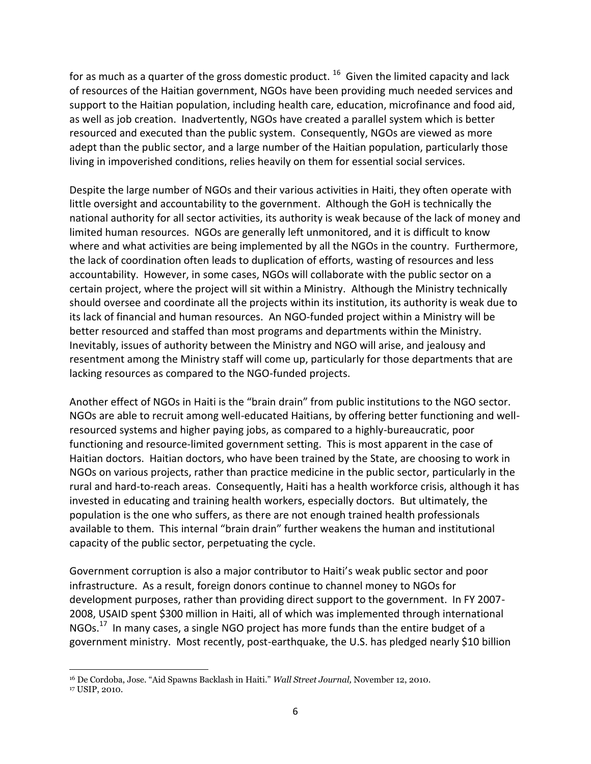for as much as a quarter of the gross domestic product.  $^{16}$  Given the limited capacity and lack of resources of the Haitian government, NGOs have been providing much needed services and support to the Haitian population, including health care, education, microfinance and food aid, as well as job creation. Inadvertently, NGOs have created a parallel system which is better resourced and executed than the public system. Consequently, NGOs are viewed as more adept than the public sector, and a large number of the Haitian population, particularly those living in impoverished conditions, relies heavily on them for essential social services.

Despite the large number of NGOs and their various activities in Haiti, they often operate with little oversight and accountability to the government. Although the GoH is technically the national authority for all sector activities, its authority is weak because of the lack of money and limited human resources. NGOs are generally left unmonitored, and it is difficult to know where and what activities are being implemented by all the NGOs in the country. Furthermore, the lack of coordination often leads to duplication of efforts, wasting of resources and less accountability. However, in some cases, NGOs will collaborate with the public sector on a certain project, where the project will sit within a Ministry. Although the Ministry technically should oversee and coordinate all the projects within its institution, its authority is weak due to its lack of financial and human resources. An NGO-funded project within a Ministry will be better resourced and staffed than most programs and departments within the Ministry. Inevitably, issues of authority between the Ministry and NGO will arise, and jealousy and resentment among the Ministry staff will come up, particularly for those departments that are lacking resources as compared to the NGO-funded projects.

Another effect of NGOs in Haiti is the "brain drain" from public institutions to the NGO sector. NGOs are able to recruit among well-educated Haitians, by offering better functioning and wellresourced systems and higher paying jobs, as compared to a highly-bureaucratic, poor functioning and resource-limited government setting. This is most apparent in the case of Haitian doctors. Haitian doctors, who have been trained by the State, are choosing to work in NGOs on various projects, rather than practice medicine in the public sector, particularly in the rural and hard-to-reach areas. Consequently, Haiti has a health workforce crisis, although it has invested in educating and training health workers, especially doctors. But ultimately, the population is the one who suffers, as there are not enough trained health professionals available to them. This internal "brain drain" further weakens the human and institutional capacity of the public sector, perpetuating the cycle.

Government corruption is also a major contributor to Haiti's weak public sector and poor infrastructure. As a result, foreign donors continue to channel money to NGOs for development purposes, rather than providing direct support to the government. In FY 2007- 2008, USAID spent \$300 million in Haiti, all of which was implemented through international NGOs.<sup>17</sup> In many cases, a single NGO project has more funds than the entire budget of a government ministry. Most recently, post-earthquake, the U.S. has pledged nearly \$10 billion

 $\overline{\phantom{a}}$ <sup>16</sup> De Cordoba, Jose. "Aid Spawns Backlash in Haiti." *Wall Street Journal,* November 12, 2010. <sup>17</sup> USIP, 2010.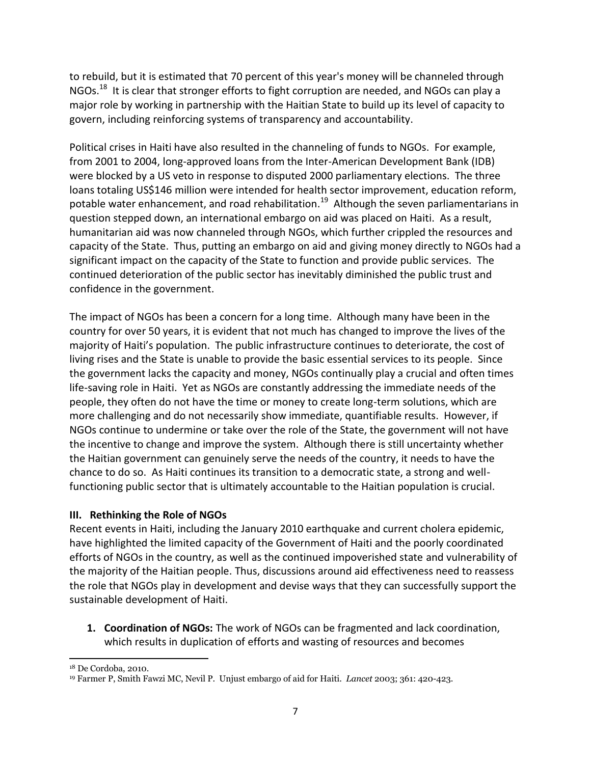to rebuild, but it is estimated that 70 percent of this year's money will be channeled through NGOs.<sup>18</sup> It is clear that stronger efforts to fight corruption are needed, and NGOs can play a major role by working in partnership with the Haitian State to build up its level of capacity to govern, including reinforcing systems of transparency and accountability.

Political crises in Haiti have also resulted in the channeling of funds to NGOs. For example, from 2001 to 2004, long-approved loans from the Inter-American Development Bank (IDB) were blocked by a US veto in response to disputed 2000 parliamentary elections. The three loans totaling US\$146 million were intended for health sector improvement, education reform, potable water enhancement, and road rehabilitation.<sup>19</sup> Although the seven parliamentarians in question stepped down, an international embargo on aid was placed on Haiti. As a result, humanitarian aid was now channeled through NGOs, which further crippled the resources and capacity of the State. Thus, putting an embargo on aid and giving money directly to NGOs had a significant impact on the capacity of the State to function and provide public services. The continued deterioration of the public sector has inevitably diminished the public trust and confidence in the government.

The impact of NGOs has been a concern for a long time. Although many have been in the country for over 50 years, it is evident that not much has changed to improve the lives of the majority of Haiti's population. The public infrastructure continues to deteriorate, the cost of living rises and the State is unable to provide the basic essential services to its people. Since the government lacks the capacity and money, NGOs continually play a crucial and often times life-saving role in Haiti. Yet as NGOs are constantly addressing the immediate needs of the people, they often do not have the time or money to create long-term solutions, which are more challenging and do not necessarily show immediate, quantifiable results. However, if NGOs continue to undermine or take over the role of the State, the government will not have the incentive to change and improve the system. Although there is still uncertainty whether the Haitian government can genuinely serve the needs of the country, it needs to have the chance to do so. As Haiti continues its transition to a democratic state, a strong and wellfunctioning public sector that is ultimately accountable to the Haitian population is crucial.

## **III. Rethinking the Role of NGOs**

Recent events in Haiti, including the January 2010 earthquake and current cholera epidemic, have highlighted the limited capacity of the Government of Haiti and the poorly coordinated efforts of NGOs in the country, as well as the continued impoverished state and vulnerability of the majority of the Haitian people. Thus, discussions around aid effectiveness need to reassess the role that NGOs play in development and devise ways that they can successfully support the sustainable development of Haiti.

**1. Coordination of NGOs:** The work of NGOs can be fragmented and lack coordination, which results in duplication of efforts and wasting of resources and becomes

 $\overline{a}$ <sup>18</sup> De Cordoba, 2010.

<sup>19</sup> Farmer P, Smith Fawzi MC, Nevil P. Unjust embargo of aid for Haiti. *Lancet* 2003; 361: 420-423.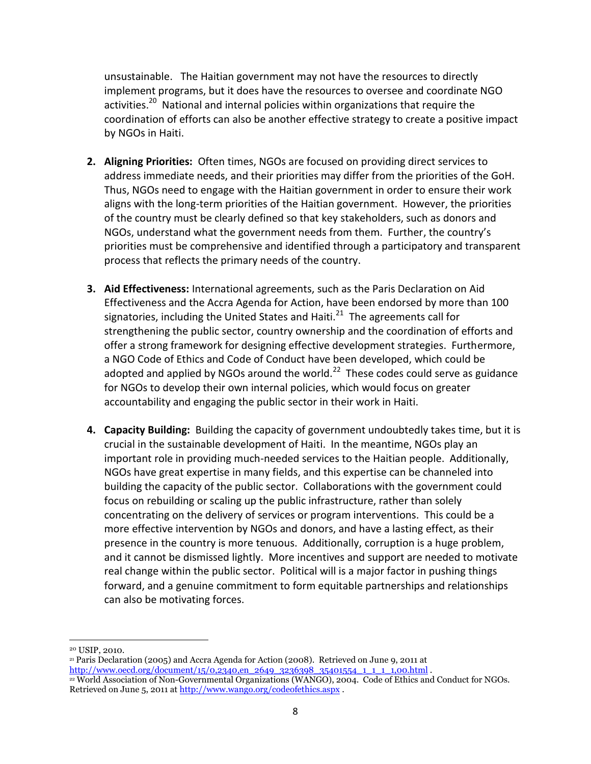unsustainable. The Haitian government may not have the resources to directly implement programs, but it does have the resources to oversee and coordinate NGO activities.<sup>20</sup> National and internal policies within organizations that require the coordination of efforts can also be another effective strategy to create a positive impact by NGOs in Haiti.

- **2. Aligning Priorities:** Often times, NGOs are focused on providing direct services to address immediate needs, and their priorities may differ from the priorities of the GoH. Thus, NGOs need to engage with the Haitian government in order to ensure their work aligns with the long-term priorities of the Haitian government. However, the priorities of the country must be clearly defined so that key stakeholders, such as donors and NGOs, understand what the government needs from them. Further, the country's priorities must be comprehensive and identified through a participatory and transparent process that reflects the primary needs of the country.
- **3. Aid Effectiveness:** International agreements, such as the Paris Declaration on Aid Effectiveness and the Accra Agenda for Action, have been endorsed by more than 100 signatories, including the United States and Haiti.<sup>21</sup> The agreements call for strengthening the public sector, country ownership and the coordination of efforts and offer a strong framework for designing effective development strategies. Furthermore, a NGO Code of Ethics and Code of Conduct have been developed, which could be adopted and applied by NGOs around the world.<sup>22</sup> These codes could serve as guidance for NGOs to develop their own internal policies, which would focus on greater accountability and engaging the public sector in their work in Haiti.
- **4. Capacity Building:** Building the capacity of government undoubtedly takes time, but it is crucial in the sustainable development of Haiti. In the meantime, NGOs play an important role in providing much-needed services to the Haitian people. Additionally, NGOs have great expertise in many fields, and this expertise can be channeled into building the capacity of the public sector. Collaborations with the government could focus on rebuilding or scaling up the public infrastructure, rather than solely concentrating on the delivery of services or program interventions. This could be a more effective intervention by NGOs and donors, and have a lasting effect, as their presence in the country is more tenuous. Additionally, corruption is a huge problem, and it cannot be dismissed lightly. More incentives and support are needed to motivate real change within the public sector. Political will is a major factor in pushing things forward, and a genuine commitment to form equitable partnerships and relationships can also be motivating forces.

 $\overline{\phantom{a}}$ <sup>20</sup> USIP, 2010.

<sup>21</sup> Paris Declaration (2005) and Accra Agenda for Action (2008). Retrieved on June 9, 2011 at [http://www.oecd.org/document/15/0,2340,en\\_2649\\_3236398\\_35401554\\_1\\_1\\_1\\_1,00.html](http://www.oecd.org/document/15/0,2340,en_2649_3236398_35401554_1_1_1_1,00.html) . <sup>22</sup> World Association of Non-Governmental Organizations (WANGO), 2004. Code of Ethics and Conduct for NGOs. Retrieved on June 5, 2011 at<http://www.wango.org/codeofethics.aspx> .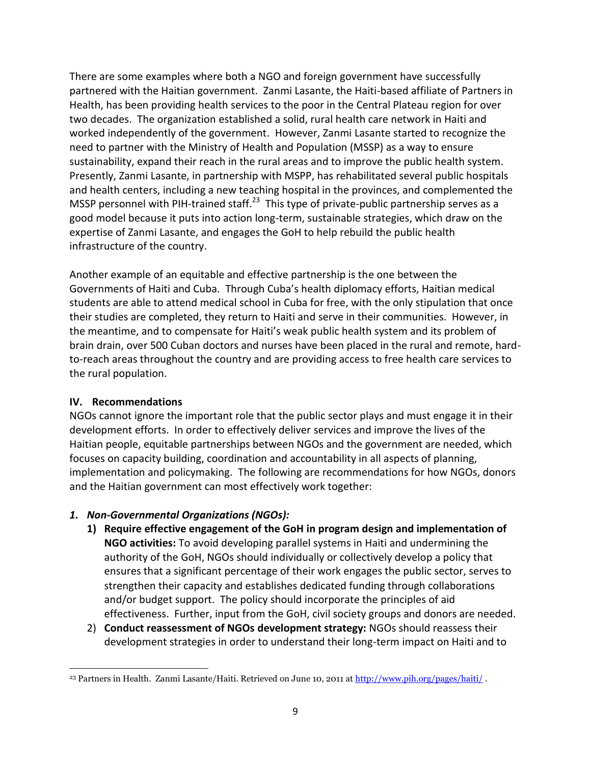There are some examples where both a NGO and foreign government have successfully partnered with the Haitian government. Zanmi Lasante, the Haiti-based affiliate of Partners in Health, has been providing health services to the poor in the Central Plateau region for over two decades. The organization established a solid, rural health care network in Haiti and worked independently of the government. However, Zanmi Lasante started to recognize the need to partner with the Ministry of Health and Population (MSSP) as a way to ensure sustainability, expand their reach in the rural areas and to improve the public health system. Presently, Zanmi Lasante, in partnership with MSPP, has rehabilitated several public hospitals and health centers, including a new teaching hospital in the provinces, and complemented the MSSP personnel with PIH-trained staff.<sup>23</sup> This type of private-public partnership serves as a good model because it puts into action long-term, sustainable strategies, which draw on the expertise of Zanmi Lasante, and engages the GoH to help rebuild the public health infrastructure of the country.

Another example of an equitable and effective partnership is the one between the Governments of Haiti and Cuba. Through Cuba's health diplomacy efforts, Haitian medical students are able to attend medical school in Cuba for free, with the only stipulation that once their studies are completed, they return to Haiti and serve in their communities. However, in the meantime, and to compensate for Haiti's weak public health system and its problem of brain drain, over 500 Cuban doctors and nurses have been placed in the rural and remote, hardto-reach areas throughout the country and are providing access to free health care services to the rural population.

## **IV. Recommendations**

NGOs cannot ignore the important role that the public sector plays and must engage it in their development efforts. In order to effectively deliver services and improve the lives of the Haitian people, equitable partnerships between NGOs and the government are needed, which focuses on capacity building, coordination and accountability in all aspects of planning, implementation and policymaking. The following are recommendations for how NGOs, donors and the Haitian government can most effectively work together:

# *1. Non-Governmental Organizations (NGOs):*

- **1) Require effective engagement of the GoH in program design and implementation of NGO activities:** To avoid developing parallel systems in Haiti and undermining the authority of the GoH, NGOs should individually or collectively develop a policy that ensures that a significant percentage of their work engages the public sector, serves to strengthen their capacity and establishes dedicated funding through collaborations and/or budget support. The policy should incorporate the principles of aid effectiveness. Further, input from the GoH, civil society groups and donors are needed.
- 2) **Conduct reassessment of NGOs development strategy:** NGOs should reassess their development strategies in order to understand their long-term impact on Haiti and to

l <sup>23</sup> Partners in Health. Zanmi Lasante/Haiti. Retrieved on June 10, 2011 at<http://www.pih.org/pages/haiti/>.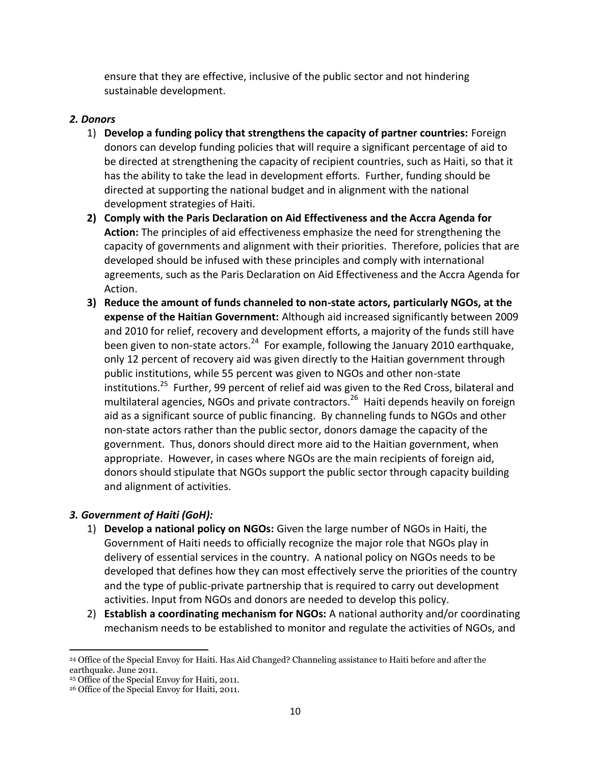ensure that they are effective, inclusive of the public sector and not hindering sustainable development.

## *2. Donors*

- 1) **Develop a funding policy that strengthens the capacity of partner countries:** Foreign donors can develop funding policies that will require a significant percentage of aid to be directed at strengthening the capacity of recipient countries, such as Haiti, so that it has the ability to take the lead in development efforts. Further, funding should be directed at supporting the national budget and in alignment with the national development strategies of Haiti.
- **2) Comply with the Paris Declaration on Aid Effectiveness and the Accra Agenda for Action:** The principles of aid effectiveness emphasize the need for strengthening the capacity of governments and alignment with their priorities. Therefore, policies that are developed should be infused with these principles and comply with international agreements, such as the Paris Declaration on Aid Effectiveness and the Accra Agenda for Action.
- **3) Reduce the amount of funds channeled to non-state actors, particularly NGOs, at the expense of the Haitian Government:** Although aid increased significantly between 2009 and 2010 for relief, recovery and development efforts, a majority of the funds still have been given to non-state actors.<sup>24</sup> For example, following the January 2010 earthquake, only 12 percent of recovery aid was given directly to the Haitian government through public institutions, while 55 percent was given to NGOs and other non-state institutions.<sup>25</sup> Further, 99 percent of relief aid was given to the Red Cross, bilateral and multilateral agencies, NGOs and private contractors.<sup>26</sup> Haiti depends heavily on foreign aid as a significant source of public financing. By channeling funds to NGOs and other non-state actors rather than the public sector, donors damage the capacity of the government. Thus, donors should direct more aid to the Haitian government, when appropriate. However, in cases where NGOs are the main recipients of foreign aid, donors should stipulate that NGOs support the public sector through capacity building and alignment of activities.

# *3. Government of Haiti (GoH):*

- 1) **Develop a national policy on NGOs:** Given the large number of NGOs in Haiti, the Government of Haiti needs to officially recognize the major role that NGOs play in delivery of essential services in the country. A national policy on NGOs needs to be developed that defines how they can most effectively serve the priorities of the country and the type of public-private partnership that is required to carry out development activities. Input from NGOs and donors are needed to develop this policy.
- 2) **Establish a coordinating mechanism for NGOs:** A national authority and/or coordinating mechanism needs to be established to monitor and regulate the activities of NGOs, and

 $\overline{a}$ <sup>24</sup> Office of the Special Envoy for Haiti. Has Aid Changed? Channeling assistance to Haiti before and after the earthquake. June 2011.

<sup>25</sup> Office of the Special Envoy for Haiti, 2011.

<sup>26</sup> Office of the Special Envoy for Haiti, 2011.